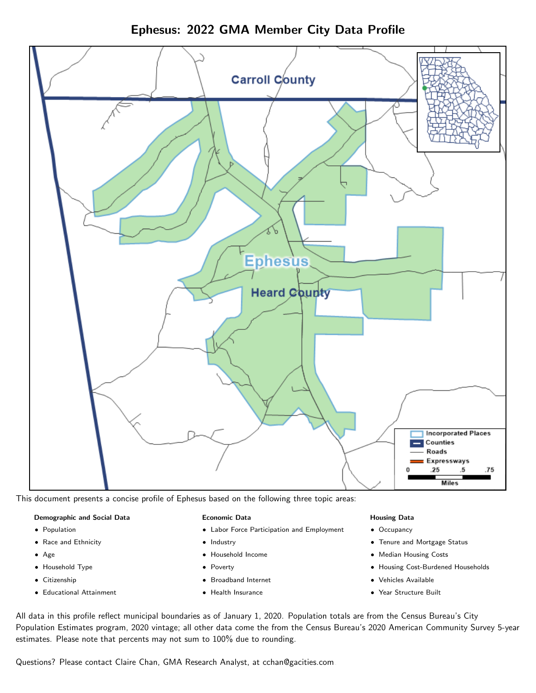Ephesus: 2022 GMA Member City Data Profile



This document presents a concise profile of Ephesus based on the following three topic areas:

### Demographic and Social Data

- **•** Population
- Race and Ethnicity
- Age
- Household Type
- **Citizenship**
- Educational Attainment

### Economic Data

- Labor Force Participation and Employment
- Industry
- Household Income
- Poverty
- Broadband Internet
- Health Insurance

### Housing Data

- Occupancy
- Tenure and Mortgage Status
- Median Housing Costs
- Housing Cost-Burdened Households
- Vehicles Available
- Year Structure Built

All data in this profile reflect municipal boundaries as of January 1, 2020. Population totals are from the Census Bureau's City Population Estimates program, 2020 vintage; all other data come the from the Census Bureau's 2020 American Community Survey 5-year estimates. Please note that percents may not sum to 100% due to rounding.

Questions? Please contact Claire Chan, GMA Research Analyst, at [cchan@gacities.com.](mailto:cchan@gacities.com)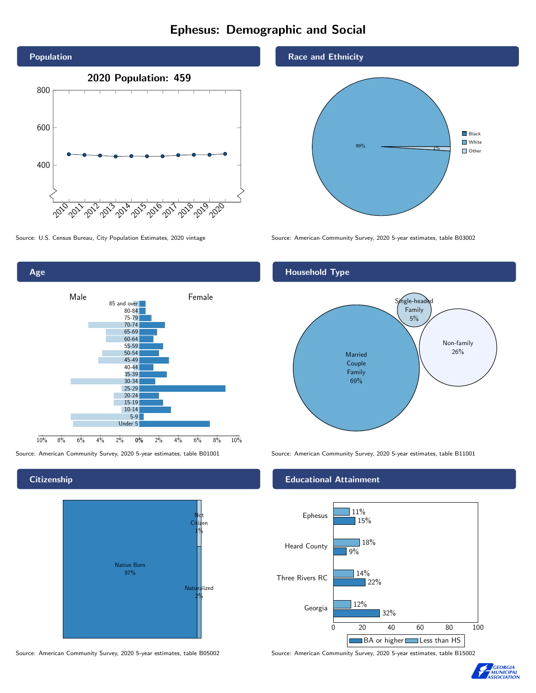# Ephesus: Demographic and Social





## **Citizenship**



Source: American Community Survey, 2020 5-year estimates, table B05002 Source: American Community Survey, 2020 5-year estimates, table B15002

## Race and Ethnicity



Source: U.S. Census Bureau, City Population Estimates, 2020 vintage Source: American Community Survey, 2020 5-year estimates, table B03002

# Household Type



Source: American Community Survey, 2020 5-year estimates, table B01001 Source: American Community Survey, 2020 5-year estimates, table B11001

## Educational Attainment



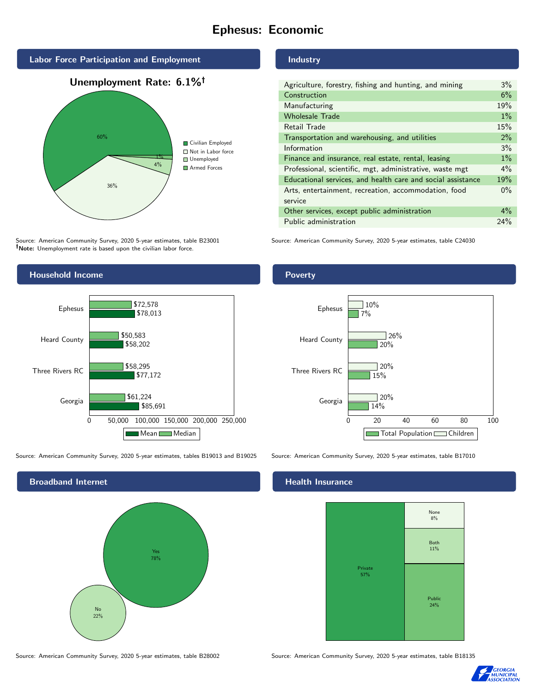# Ephesus: Economic



# Source: American Community Survey, 2020 5-year estimates, table B23001

*Note:* Unemployment rate is based upon the civilian labor force.



#### Source: American Community Survey, 2020 5-year estimates, tables B19013 and B19025 Source: American Community Survey, 2020 5-year estimates, table B17010

Broadband Internet No 22% Yes 78%

Retail Trade 15% Transportation and warehousing, and utilities 2% Information 3% Finance and insurance, real estate, rental, leasing 1% Professional, scientific, mgt, administrative, waste mgt 4%

| Educational services, and health care and social assistance | 19%   |
|-------------------------------------------------------------|-------|
| Arts, entertainment, recreation, accommodation, food        | $0\%$ |
| service                                                     |       |
| Other services, except public administration                | $4\%$ |
| Public administration                                       | 24%   |

Construction 6% Manufacturing 19% Wholesale Trade 1% and 1% and 1% and 1% and 1% and 1% and 1% and 1% and 1% and 1% and 1% and 1% and 1% and 1%

Source: American Community Survey, 2020 5-year estimates, table C24030

# 0 20 40 60 80 100 Georgia Three Rivers RC Heard County Ephesus 14% 15% 20% 7%  $120%$ 20%  $126%$  $10%$ Total Population Children

#### Health Insurance



Source: American Community Survey, 2020 5-year estimates, table B28002 Source: American Community Survey, 2020 5-year estimates, table B18135



# Industry Agriculture, forestry, fishing and hunting, and mining 3%

**Poverty**